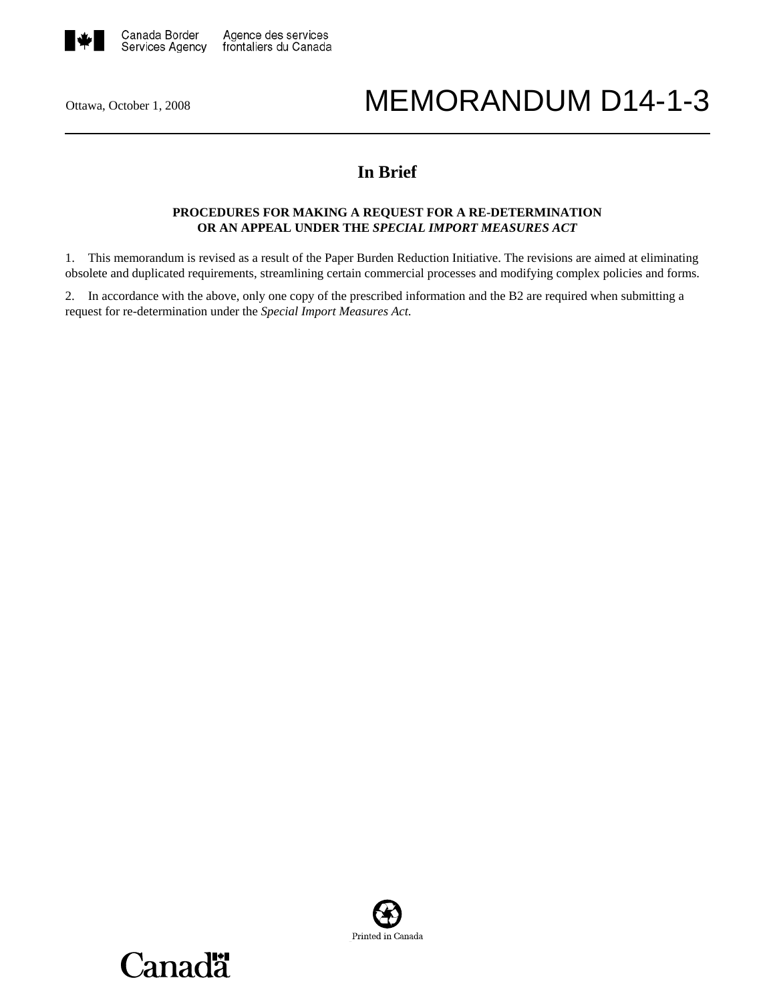

# Ottawa, October 1, 2008 MEMORANDUM D14-1-3

# **In Brief**

# **PROCEDURES FOR MAKING A REQUEST FOR A RE-DETERMINATION OR AN APPEAL UNDER THE** *SPECIAL IMPORT MEASURES ACT*

1. This memorandum is revised as a result of the Paper Burden Reduction Initiative. The revisions are aimed at eliminating obsolete and duplicated requirements, streamlining certain commercial processes and modifying complex policies and forms.

2. In accordance with the above, only one copy of the prescribed information and the B2 are required when submitting a request for re-determination under the *Special Import Measures Act*.



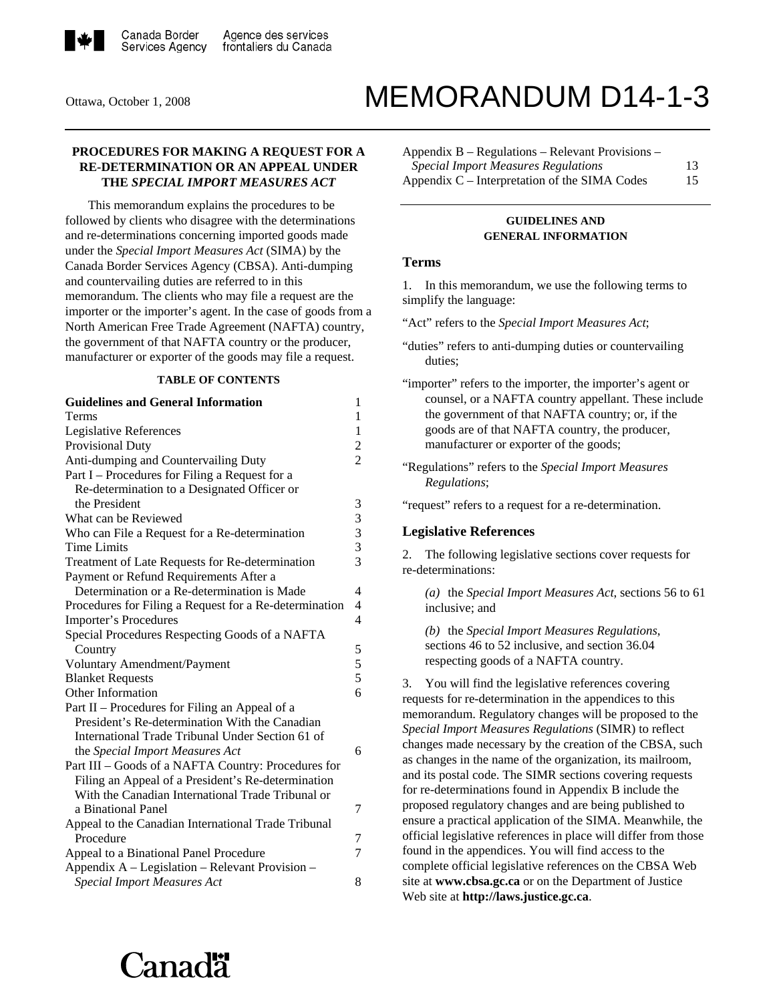

# Ottawa, October 1, 2008 MEMORANDUM D14-1-3

# **PROCEDURES FOR MAKING A REQUEST FOR A RE-DETERMINATION OR AN APPEAL UNDER THE** *SPECIAL IMPORT MEASURES ACT*

 This memorandum explains the procedures to be followed by clients who disagree with the determinations and re-determinations concerning imported goods made under the *Special Import Measures Act* (SIMA) by the Canada Border Services Agency (CBSA). Anti-dumping and countervailing duties are referred to in this memorandum. The clients who may file a request are the importer or the importer's agent. In the case of goods from a North American Free Trade Agreement (NAFTA) country, the government of that NAFTA country or the producer, manufacturer or exporter of the goods may file a request.

#### **TABLE OF CONTENTS**

| <b>Guidelines and General Information</b>              | 1                        |
|--------------------------------------------------------|--------------------------|
| Terms                                                  | 1                        |
| Legislative References                                 | $\mathbf{1}$             |
| <b>Provisional Duty</b>                                | $\overline{c}$           |
| Anti-dumping and Countervailing Duty                   | $\overline{2}$           |
| Part I – Procedures for Filing a Request for a         |                          |
| Re-determination to a Designated Officer or            |                          |
| the President                                          | 3                        |
| What can be Reviewed                                   | 3                        |
| Who can File a Request for a Re-determination          | 3                        |
| <b>Time Limits</b>                                     | 3                        |
| Treatment of Late Requests for Re-determination        | 3                        |
| Payment or Refund Requirements After a                 |                          |
| Determination or a Re-determination is Made            | 4                        |
| Procedures for Filing a Request for a Re-determination | 4                        |
| Importer's Procedures                                  | $\overline{\mathcal{L}}$ |
| Special Procedures Respecting Goods of a NAFTA         |                          |
| Country                                                | 5                        |
| Voluntary Amendment/Payment                            | 5                        |
| <b>Blanket Requests</b>                                | 5                        |
| Other Information                                      | 6                        |
| Part II – Procedures for Filing an Appeal of a         |                          |
| President's Re-determination With the Canadian         |                          |
| International Trade Tribunal Under Section 61 of       |                          |
| the Special Import Measures Act                        | 6                        |
| Part III - Goods of a NAFTA Country: Procedures for    |                          |
| Filing an Appeal of a President's Re-determination     |                          |
| With the Canadian International Trade Tribunal or      |                          |
| a Binational Panel                                     | 7                        |
| Appeal to the Canadian International Trade Tribunal    |                          |
| Procedure                                              | 7                        |
| Appeal to a Binational Panel Procedure                 | 7                        |
| Appendix A – Legislation – Relevant Provision –        |                          |
| <b>Special Import Measures Act</b>                     | 8                        |

Appendix B – Regulations – Relevant Provisions – *Special Import Measures Regulations* 13 Appendix C – Interpretation of the SIMA Codes 15

# **GUIDELINES AND GENERAL INFORMATION**

#### **Terms**

1. In this memorandum, we use the following terms to simplify the language:

"Act" refers to the *Special Import Measures Act*;

"request" refers to a request for a re-determination.

#### **Legislative References**

2. The following legislative sections cover requests for re-determinations:

*(a)* the *Special Import Measures Act*, sections 56 to 61 inclusive; and

*(b)* the *Special Import Measures Regulations*, sections 46 to 52 inclusive, and section 36.04 respecting goods of a NAFTA country.

3. You will find the legislative references covering requests for re-determination in the appendices to this memorandum. Regulatory changes will be proposed to the *Special Import Measures Regulations* (SIMR) to reflect changes made necessary by the creation of the CBSA, such as changes in the name of the organization, its mailroom, and its postal code. The SIMR sections covering requests for re-determinations found in Appendix B include the proposed regulatory changes and are being published to ensure a practical application of the SIMA. Meanwhile, the official legislative references in place will differ from those found in the appendices. You will find access to the complete official legislative references on the CBSA Web site at **www.cbsa.gc.ca** or on the Department of Justice Web site at **http://laws.justice.gc.ca**.

# `anadä

<sup>&</sup>quot;duties" refers to anti-dumping duties or countervailing duties;

<sup>&</sup>quot;importer" refers to the importer, the importer's agent or counsel, or a NAFTA country appellant. These include the government of that NAFTA country; or, if the goods are of that NAFTA country, the producer, manufacturer or exporter of the goods;

<sup>&</sup>quot;Regulations" refers to the *Special Import Measures Regulations*;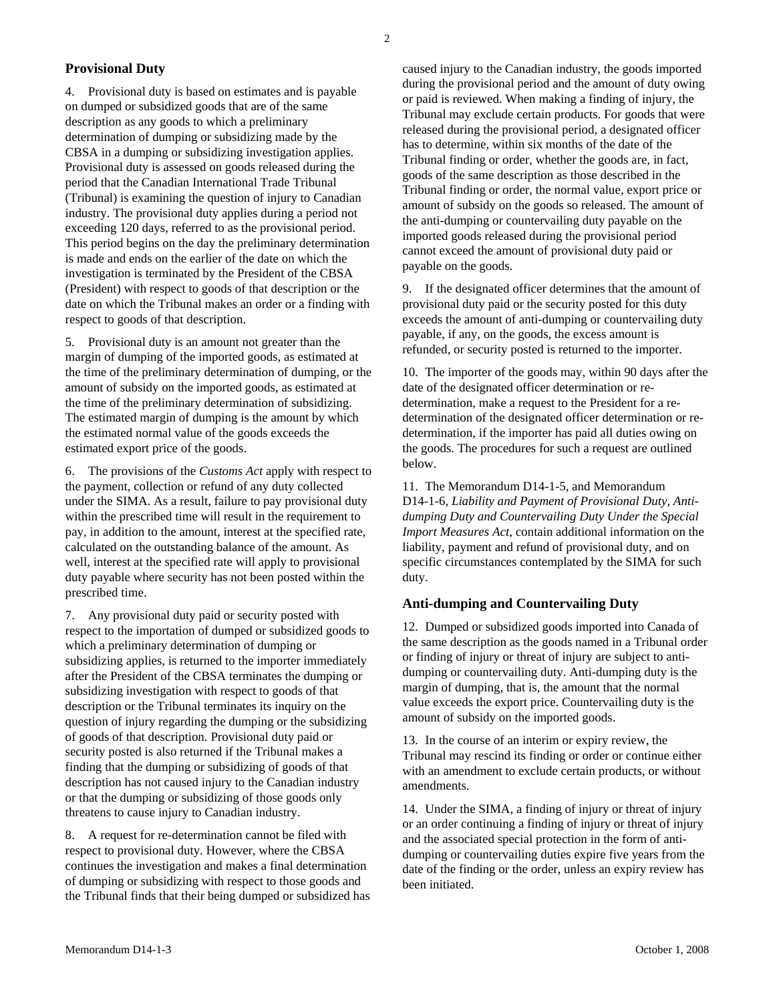# **Provisional Duty**

4. Provisional duty is based on estimates and is payable on dumped or subsidized goods that are of the same description as any goods to which a preliminary determination of dumping or subsidizing made by the CBSA in a dumping or subsidizing investigation applies. Provisional duty is assessed on goods released during the period that the Canadian International Trade Tribunal (Tribunal) is examining the question of injury to Canadian industry. The provisional duty applies during a period not exceeding 120 days, referred to as the provisional period. This period begins on the day the preliminary determination is made and ends on the earlier of the date on which the investigation is terminated by the President of the CBSA (President) with respect to goods of that description or the date on which the Tribunal makes an order or a finding with respect to goods of that description.

5. Provisional duty is an amount not greater than the margin of dumping of the imported goods, as estimated at the time of the preliminary determination of dumping, or the amount of subsidy on the imported goods, as estimated at the time of the preliminary determination of subsidizing. The estimated margin of dumping is the amount by which the estimated normal value of the goods exceeds the estimated export price of the goods.

6. The provisions of the *Customs Act* apply with respect to the payment, collection or refund of any duty collected under the SIMA. As a result, failure to pay provisional duty within the prescribed time will result in the requirement to pay, in addition to the amount, interest at the specified rate, calculated on the outstanding balance of the amount. As well, interest at the specified rate will apply to provisional duty payable where security has not been posted within the prescribed time.

7. Any provisional duty paid or security posted with respect to the importation of dumped or subsidized goods to which a preliminary determination of dumping or subsidizing applies, is returned to the importer immediately after the President of the CBSA terminates the dumping or subsidizing investigation with respect to goods of that description or the Tribunal terminates its inquiry on the question of injury regarding the dumping or the subsidizing of goods of that description. Provisional duty paid or security posted is also returned if the Tribunal makes a finding that the dumping or subsidizing of goods of that description has not caused injury to the Canadian industry or that the dumping or subsidizing of those goods only threatens to cause injury to Canadian industry.

8. A request for re-determination cannot be filed with respect to provisional duty. However, where the CBSA continues the investigation and makes a final determination of dumping or subsidizing with respect to those goods and the Tribunal finds that their being dumped or subsidized has caused injury to the Canadian industry, the goods imported during the provisional period and the amount of duty owing or paid is reviewed. When making a finding of injury, the Tribunal may exclude certain products. For goods that were released during the provisional period, a designated officer has to determine, within six months of the date of the Tribunal finding or order, whether the goods are, in fact, goods of the same description as those described in the Tribunal finding or order, the normal value, export price or amount of subsidy on the goods so released. The amount of the anti-dumping or countervailing duty payable on the imported goods released during the provisional period cannot exceed the amount of provisional duty paid or payable on the goods.

9. If the designated officer determines that the amount of provisional duty paid or the security posted for this duty exceeds the amount of anti-dumping or countervailing duty payable, if any, on the goods, the excess amount is refunded, or security posted is returned to the importer.

10. The importer of the goods may, within 90 days after the date of the designated officer determination or redetermination, make a request to the President for a redetermination of the designated officer determination or redetermination, if the importer has paid all duties owing on the goods. The procedures for such a request are outlined below.

11. The Memorandum D14-1-5, and Memorandum D14-1-6, *Liability and Payment of Provisional Duty, Antidumping Duty and Countervailing Duty Under the Special Import Measures Act*, contain additional information on the liability, payment and refund of provisional duty, and on specific circumstances contemplated by the SIMA for such duty.

#### **Anti-dumping and Countervailing Duty**

12. Dumped or subsidized goods imported into Canada of the same description as the goods named in a Tribunal order or finding of injury or threat of injury are subject to antidumping or countervailing duty. Anti-dumping duty is the margin of dumping, that is, the amount that the normal value exceeds the export price. Countervailing duty is the amount of subsidy on the imported goods.

13. In the course of an interim or expiry review, the Tribunal may rescind its finding or order or continue either with an amendment to exclude certain products, or without amendments.

14. Under the SIMA, a finding of injury or threat of injury or an order continuing a finding of injury or threat of injury and the associated special protection in the form of antidumping or countervailing duties expire five years from the date of the finding or the order, unless an expiry review has been initiated.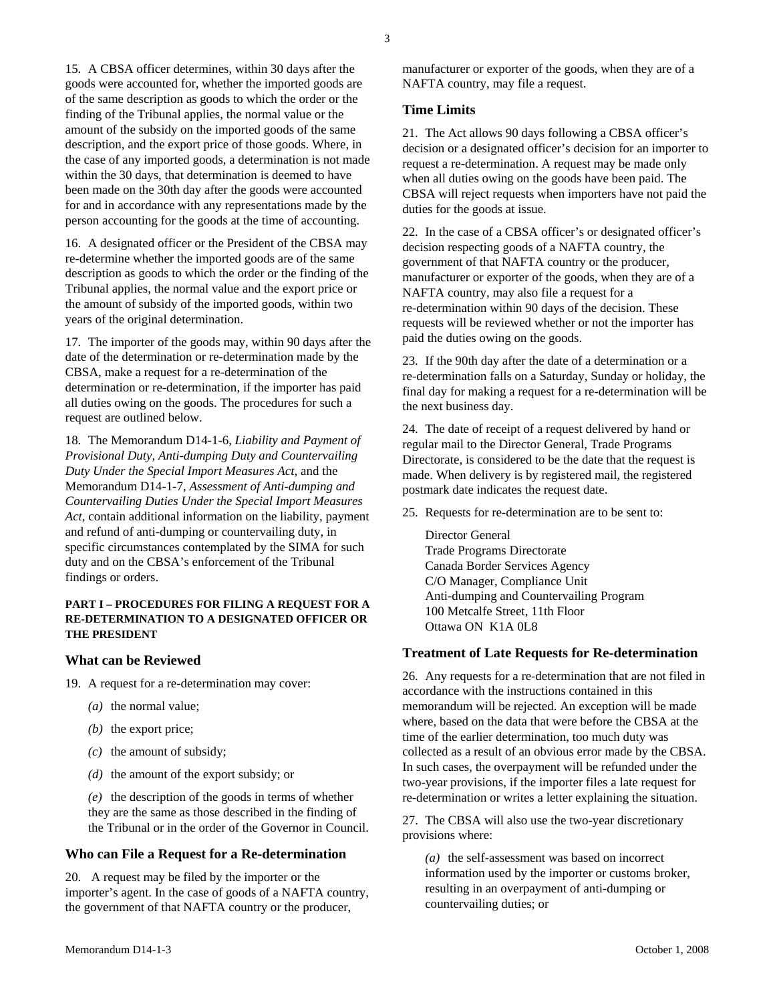15. A CBSA officer determines, within 30 days after the goods were accounted for, whether the imported goods are of the same description as goods to which the order or the finding of the Tribunal applies, the normal value or the amount of the subsidy on the imported goods of the same description, and the export price of those goods. Where, in the case of any imported goods, a determination is not made within the 30 days, that determination is deemed to have been made on the 30th day after the goods were accounted for and in accordance with any representations made by the person accounting for the goods at the time of accounting.

16. A designated officer or the President of the CBSA may re-determine whether the imported goods are of the same description as goods to which the order or the finding of the Tribunal applies, the normal value and the export price or the amount of subsidy of the imported goods, within two years of the original determination.

17. The importer of the goods may, within 90 days after the date of the determination or re-determination made by the CBSA, make a request for a re-determination of the determination or re-determination, if the importer has paid all duties owing on the goods. The procedures for such a request are outlined below.

18. The Memorandum D14-1-6, *Liability and Payment of Provisional Duty, Anti-dumping Duty and Countervailing Duty Under the Special Import Measures Act*, and the Memorandum D14-1-7, *Assessment of Anti-dumping and Countervailing Duties Under the Special Import Measures Act*, contain additional information on the liability, payment and refund of anti-dumping or countervailing duty, in specific circumstances contemplated by the SIMA for such duty and on the CBSA's enforcement of the Tribunal findings or orders.

# **PART I – PROCEDURES FOR FILING A REQUEST FOR A RE-DETERMINATION TO A DESIGNATED OFFICER OR THE PRESIDENT**

## **What can be Reviewed**

- 19. A request for a re-determination may cover:
	- *(a)* the normal value;
	- *(b)* the export price;
	- *(c)* the amount of subsidy;
	- *(d)* the amount of the export subsidy; or

*(e)* the description of the goods in terms of whether they are the same as those described in the finding of the Tribunal or in the order of the Governor in Council.

# **Who can File a Request for a Re-determination**

20. A request may be filed by the importer or the importer's agent. In the case of goods of a NAFTA country, the government of that NAFTA country or the producer,

manufacturer or exporter of the goods, when they are of a NAFTA country, may file a request.

# **Time Limits**

21. The Act allows 90 days following a CBSA officer's decision or a designated officer's decision for an importer to request a re-determination. A request may be made only when all duties owing on the goods have been paid. The CBSA will reject requests when importers have not paid the duties for the goods at issue.

22. In the case of a CBSA officer's or designated officer's decision respecting goods of a NAFTA country, the government of that NAFTA country or the producer, manufacturer or exporter of the goods, when they are of a NAFTA country, may also file a request for a re-determination within 90 days of the decision. These requests will be reviewed whether or not the importer has paid the duties owing on the goods.

23. If the 90th day after the date of a determination or a re-determination falls on a Saturday, Sunday or holiday, the final day for making a request for a re-determination will be the next business day.

24. The date of receipt of a request delivered by hand or regular mail to the Director General, Trade Programs Directorate, is considered to be the date that the request is made. When delivery is by registered mail, the registered postmark date indicates the request date.

25. Requests for re-determination are to be sent to:

Director General Trade Programs Directorate Canada Border Services Agency C/O Manager, Compliance Unit Anti-dumping and Countervailing Program 100 Metcalfe Street, 11th Floor Ottawa ON K1A 0L8

# **Treatment of Late Requests for Re-determination**

26. Any requests for a re-determination that are not filed in accordance with the instructions contained in this memorandum will be rejected. An exception will be made where, based on the data that were before the CBSA at the time of the earlier determination, too much duty was collected as a result of an obvious error made by the CBSA. In such cases, the overpayment will be refunded under the two-year provisions, if the importer files a late request for re-determination or writes a letter explaining the situation.

27. The CBSA will also use the two-year discretionary provisions where:

*(a)* the self-assessment was based on incorrect information used by the importer or customs broker, resulting in an overpayment of anti-dumping or countervailing duties; or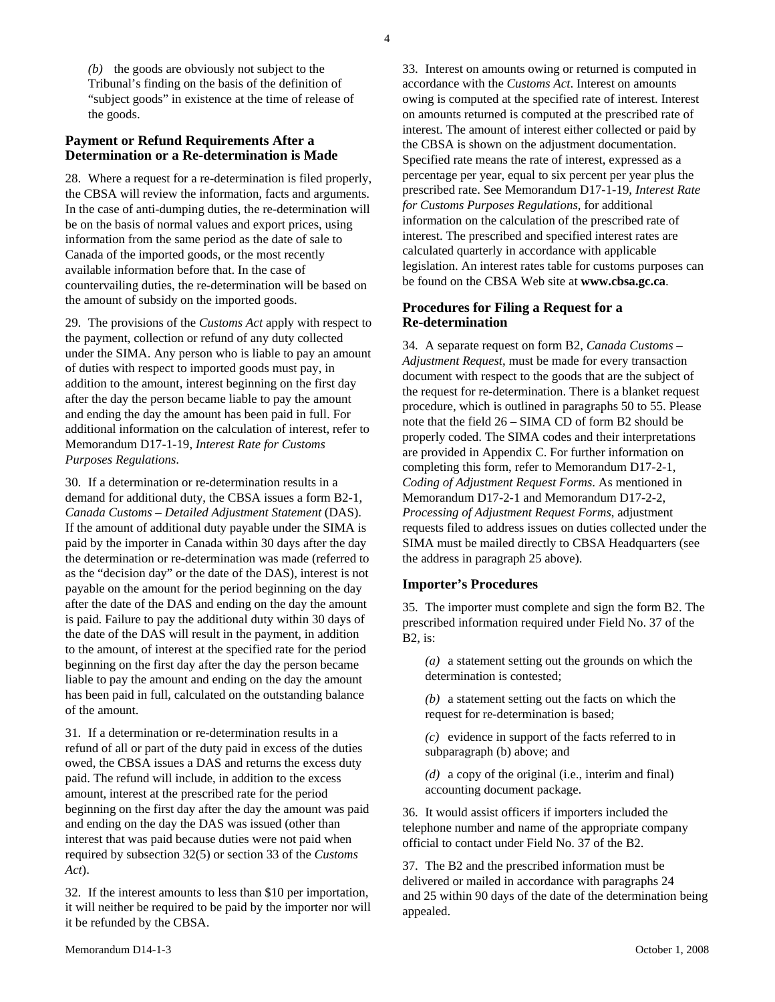*(b)* the goods are obviously not subject to the Tribunal's finding on the basis of the definition of "subject goods" in existence at the time of release of the goods.

# **Payment or Refund Requirements After a Determination or a Re-determination is Made**

28. Where a request for a re-determination is filed properly, the CBSA will review the information, facts and arguments. In the case of anti-dumping duties, the re-determination will be on the basis of normal values and export prices, using information from the same period as the date of sale to Canada of the imported goods, or the most recently available information before that. In the case of countervailing duties, the re-determination will be based on the amount of subsidy on the imported goods.

29. The provisions of the *Customs Act* apply with respect to the payment, collection or refund of any duty collected under the SIMA. Any person who is liable to pay an amount of duties with respect to imported goods must pay, in addition to the amount, interest beginning on the first day after the day the person became liable to pay the amount and ending the day the amount has been paid in full. For additional information on the calculation of interest, refer to Memorandum D17-1-19, *Interest Rate for Customs Purposes Regulations*.

30. If a determination or re-determination results in a demand for additional duty, the CBSA issues a form B2-1, *Canada Customs – Detailed Adjustment Statement* (DAS). If the amount of additional duty payable under the SIMA is paid by the importer in Canada within 30 days after the day the determination or re-determination was made (referred to as the "decision day" or the date of the DAS), interest is not payable on the amount for the period beginning on the day after the date of the DAS and ending on the day the amount is paid. Failure to pay the additional duty within 30 days of the date of the DAS will result in the payment, in addition to the amount, of interest at the specified rate for the period beginning on the first day after the day the person became liable to pay the amount and ending on the day the amount has been paid in full, calculated on the outstanding balance of the amount.

31. If a determination or re-determination results in a refund of all or part of the duty paid in excess of the duties owed, the CBSA issues a DAS and returns the excess duty paid. The refund will include, in addition to the excess amount, interest at the prescribed rate for the period beginning on the first day after the day the amount was paid and ending on the day the DAS was issued (other than interest that was paid because duties were not paid when required by subsection 32(5) or section 33 of the *Customs Act*).

32. If the interest amounts to less than \$10 per importation, it will neither be required to be paid by the importer nor will it be refunded by the CBSA.

33. Interest on amounts owing or returned is computed in accordance with the *Customs Act*. Interest on amounts owing is computed at the specified rate of interest. Interest on amounts returned is computed at the prescribed rate of interest. The amount of interest either collected or paid by the CBSA is shown on the adjustment documentation. Specified rate means the rate of interest, expressed as a percentage per year, equal to six percent per year plus the prescribed rate. See Memorandum D17-1-19, *Interest Rate for Customs Purposes Regulations*, for additional information on the calculation of the prescribed rate of interest. The prescribed and specified interest rates are calculated quarterly in accordance with applicable legislation. An interest rates table for customs purposes can be found on the CBSA Web site at **www.cbsa.gc.ca**.

# **Procedures for Filing a Request for a Re-determination**

34. A separate request on form B2, *Canada Customs – Adjustment Request*, must be made for every transaction document with respect to the goods that are the subject of the request for re-determination. There is a blanket request procedure, which is outlined in paragraphs 50 to 55. Please note that the field 26 – SIMA CD of form B2 should be properly coded. The SIMA codes and their interpretations are provided in Appendix C. For further information on completing this form, refer to Memorandum D17-2-1, *Coding of Adjustment Request Forms*. As mentioned in Memorandum D17-2-1 and Memorandum D17-2-2, *Processing of Adjustment Request Forms*, adjustment requests filed to address issues on duties collected under the SIMA must be mailed directly to CBSA Headquarters (see the address in paragraph 25 above).

# **Importer's Procedures**

35. The importer must complete and sign the form B2. The prescribed information required under Field No. 37 of the B2, is:

*(a)* a statement setting out the grounds on which the determination is contested;

*(b)* a statement setting out the facts on which the request for re-determination is based;

*(c)* evidence in support of the facts referred to in subparagraph (b) above; and

*(d)* a copy of the original (i.e., interim and final) accounting document package.

36. It would assist officers if importers included the telephone number and name of the appropriate company official to contact under Field No. 37 of the B2.

37. The B2 and the prescribed information must be delivered or mailed in accordance with paragraphs 24 and 25 within 90 days of the date of the determination being appealed.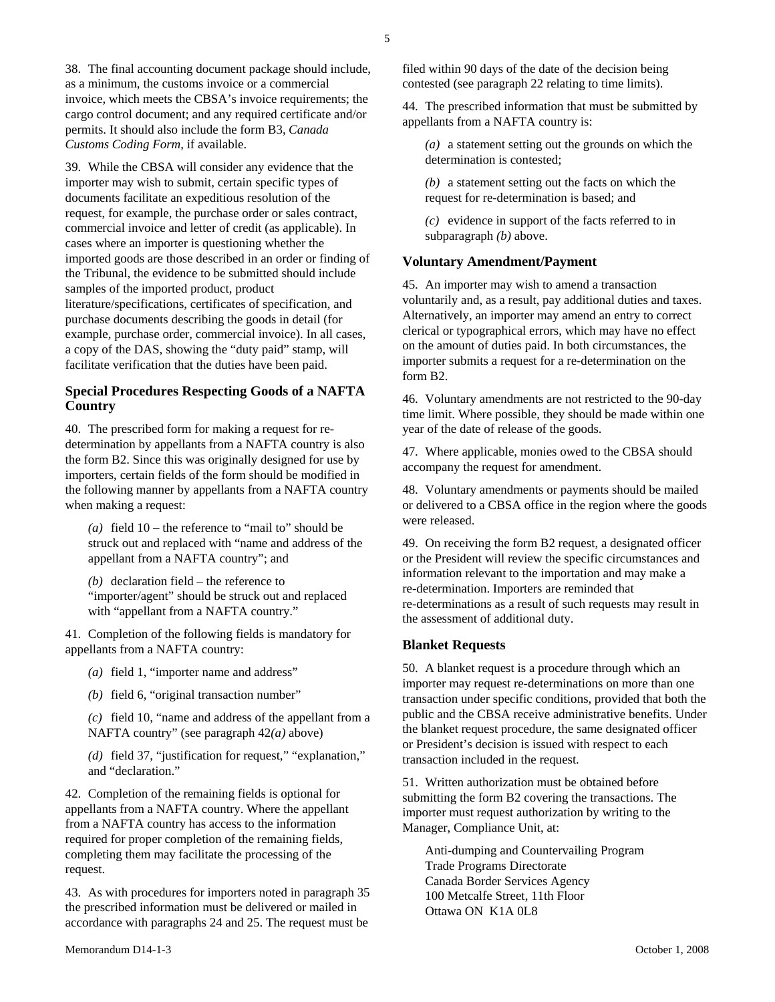38. The final accounting document package should include, as a minimum, the customs invoice or a commercial invoice, which meets the CBSA's invoice requirements; the cargo control document; and any required certificate and/or permits. It should also include the form B3, *Canada Customs Coding Form*, if available.

39. While the CBSA will consider any evidence that the importer may wish to submit, certain specific types of documents facilitate an expeditious resolution of the request, for example, the purchase order or sales contract, commercial invoice and letter of credit (as applicable). In cases where an importer is questioning whether the imported goods are those described in an order or finding of the Tribunal, the evidence to be submitted should include samples of the imported product, product literature/specifications, certificates of specification, and purchase documents describing the goods in detail (for example, purchase order, commercial invoice). In all cases, a copy of the DAS, showing the "duty paid" stamp, will facilitate verification that the duties have been paid.

# **Special Procedures Respecting Goods of a NAFTA Country**

40. The prescribed form for making a request for redetermination by appellants from a NAFTA country is also the form B2. Since this was originally designed for use by importers, certain fields of the form should be modified in the following manner by appellants from a NAFTA country when making a request:

*(a)* field 10 – the reference to "mail to" should be struck out and replaced with "name and address of the appellant from a NAFTA country"; and

*(b)* declaration field – the reference to "importer/agent" should be struck out and replaced with "appellant from a NAFTA country."

41. Completion of the following fields is mandatory for appellants from a NAFTA country:

- *(a)* field 1, "importer name and address"
- *(b)* field 6, "original transaction number"

*(c)* field 10, "name and address of the appellant from a NAFTA country" (see paragraph 42*(a)* above)

*(d)* field 37, "justification for request," "explanation," and "declaration."

42. Completion of the remaining fields is optional for appellants from a NAFTA country. Where the appellant from a NAFTA country has access to the information required for proper completion of the remaining fields, completing them may facilitate the processing of the request.

43. As with procedures for importers noted in paragraph 35 the prescribed information must be delivered or mailed in accordance with paragraphs 24 and 25. The request must be

filed within 90 days of the date of the decision being contested (see paragraph 22 relating to time limits).

44. The prescribed information that must be submitted by appellants from a NAFTA country is:

*(a)* a statement setting out the grounds on which the determination is contested;

*(b)* a statement setting out the facts on which the request for re-determination is based; and

*(c)* evidence in support of the facts referred to in subparagraph *(b)* above.

# **Voluntary Amendment/Payment**

45. An importer may wish to amend a transaction voluntarily and, as a result, pay additional duties and taxes. Alternatively, an importer may amend an entry to correct clerical or typographical errors, which may have no effect on the amount of duties paid. In both circumstances, the importer submits a request for a re-determination on the form B2.

46. Voluntary amendments are not restricted to the 90-day time limit. Where possible, they should be made within one year of the date of release of the goods.

47. Where applicable, monies owed to the CBSA should accompany the request for amendment.

48. Voluntary amendments or payments should be mailed or delivered to a CBSA office in the region where the goods were released.

49. On receiving the form B2 request, a designated officer or the President will review the specific circumstances and information relevant to the importation and may make a re-determination. Importers are reminded that re-determinations as a result of such requests may result in the assessment of additional duty.

# **Blanket Requests**

50. A blanket request is a procedure through which an importer may request re-determinations on more than one transaction under specific conditions, provided that both the public and the CBSA receive administrative benefits. Under the blanket request procedure, the same designated officer or President's decision is issued with respect to each transaction included in the request.

51. Written authorization must be obtained before submitting the form B2 covering the transactions. The importer must request authorization by writing to the Manager, Compliance Unit, at:

Anti-dumping and Countervailing Program Trade Programs Directorate Canada Border Services Agency 100 Metcalfe Street, 11th Floor Ottawa ON K1A 0L8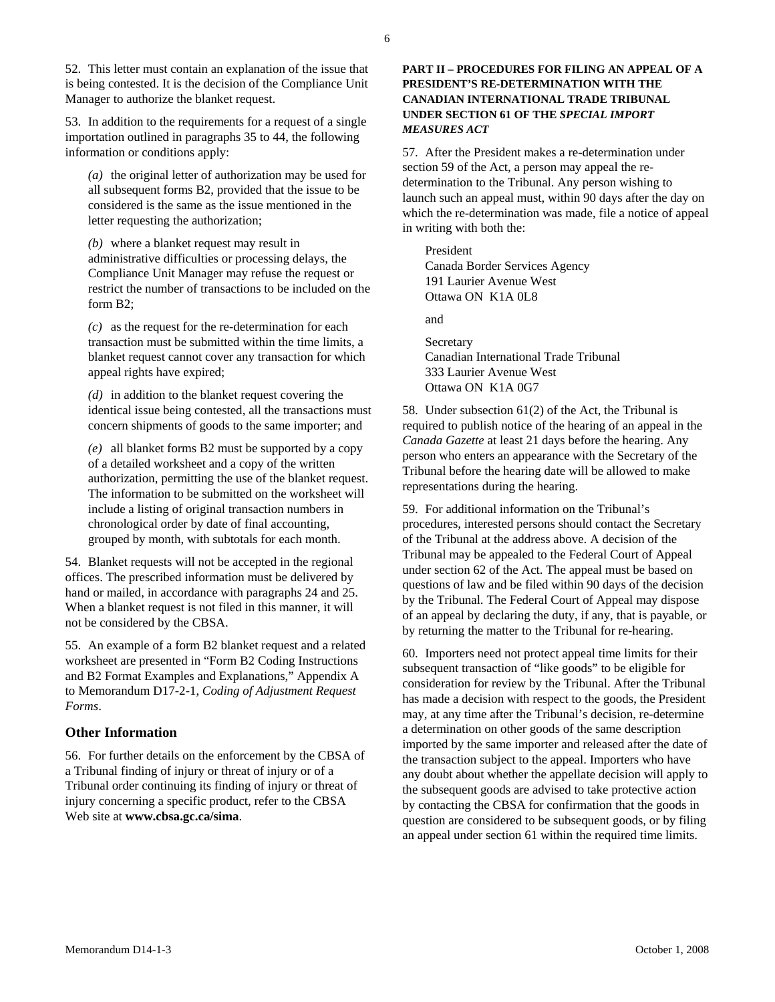52. This letter must contain an explanation of the issue that is being contested. It is the decision of the Compliance Unit Manager to authorize the blanket request.

53. In addition to the requirements for a request of a single importation outlined in paragraphs 35 to 44, the following information or conditions apply:

*(a)* the original letter of authorization may be used for all subsequent forms B2, provided that the issue to be considered is the same as the issue mentioned in the letter requesting the authorization;

*(b)* where a blanket request may result in administrative difficulties or processing delays, the Compliance Unit Manager may refuse the request or restrict the number of transactions to be included on the form B2;

*(c)* as the request for the re-determination for each transaction must be submitted within the time limits, a blanket request cannot cover any transaction for which appeal rights have expired;

*(d)* in addition to the blanket request covering the identical issue being contested, all the transactions must concern shipments of goods to the same importer; and

*(e)* all blanket forms B2 must be supported by a copy of a detailed worksheet and a copy of the written authorization, permitting the use of the blanket request. The information to be submitted on the worksheet will include a listing of original transaction numbers in chronological order by date of final accounting, grouped by month, with subtotals for each month.

54. Blanket requests will not be accepted in the regional offices. The prescribed information must be delivered by hand or mailed, in accordance with paragraphs 24 and 25. When a blanket request is not filed in this manner, it will not be considered by the CBSA.

55. An example of a form B2 blanket request and a related worksheet are presented in "Form B2 Coding Instructions and B2 Format Examples and Explanations," Appendix A to Memorandum D17-2-1, *Coding of Adjustment Request Forms*.

#### **Other Information**

56. For further details on the enforcement by the CBSA of a Tribunal finding of injury or threat of injury or of a Tribunal order continuing its finding of injury or threat of injury concerning a specific product, refer to the CBSA Web site at **www.cbsa.gc.ca/sima**.

# **PART II – PROCEDURES FOR FILING AN APPEAL OF A PRESIDENT'S RE-DETERMINATION WITH THE CANADIAN INTERNATIONAL TRADE TRIBUNAL UNDER SECTION 61 OF THE** *SPECIAL IMPORT MEASURES ACT*

57. After the President makes a re-determination under section 59 of the Act, a person may appeal the redetermination to the Tribunal. Any person wishing to launch such an appeal must, within 90 days after the day on which the re-determination was made, file a notice of appeal in writing with both the:

President Canada Border Services Agency 191 Laurier Avenue West Ottawa ON K1A 0L8

and

Secretary Canadian International Trade Tribunal 333 Laurier Avenue West Ottawa ON K1A 0G7

58. Under subsection 61(2) of the Act, the Tribunal is required to publish notice of the hearing of an appeal in the *Canada Gazette* at least 21 days before the hearing. Any person who enters an appearance with the Secretary of the Tribunal before the hearing date will be allowed to make representations during the hearing.

59. For additional information on the Tribunal's procedures, interested persons should contact the Secretary of the Tribunal at the address above. A decision of the Tribunal may be appealed to the Federal Court of Appeal under section 62 of the Act. The appeal must be based on questions of law and be filed within 90 days of the decision by the Tribunal. The Federal Court of Appeal may dispose of an appeal by declaring the duty, if any, that is payable, or by returning the matter to the Tribunal for re-hearing.

60. Importers need not protect appeal time limits for their subsequent transaction of "like goods" to be eligible for consideration for review by the Tribunal. After the Tribunal has made a decision with respect to the goods, the President may, at any time after the Tribunal's decision, re-determine a determination on other goods of the same description imported by the same importer and released after the date of the transaction subject to the appeal. Importers who have any doubt about whether the appellate decision will apply to the subsequent goods are advised to take protective action by contacting the CBSA for confirmation that the goods in question are considered to be subsequent goods, or by filing an appeal under section 61 within the required time limits.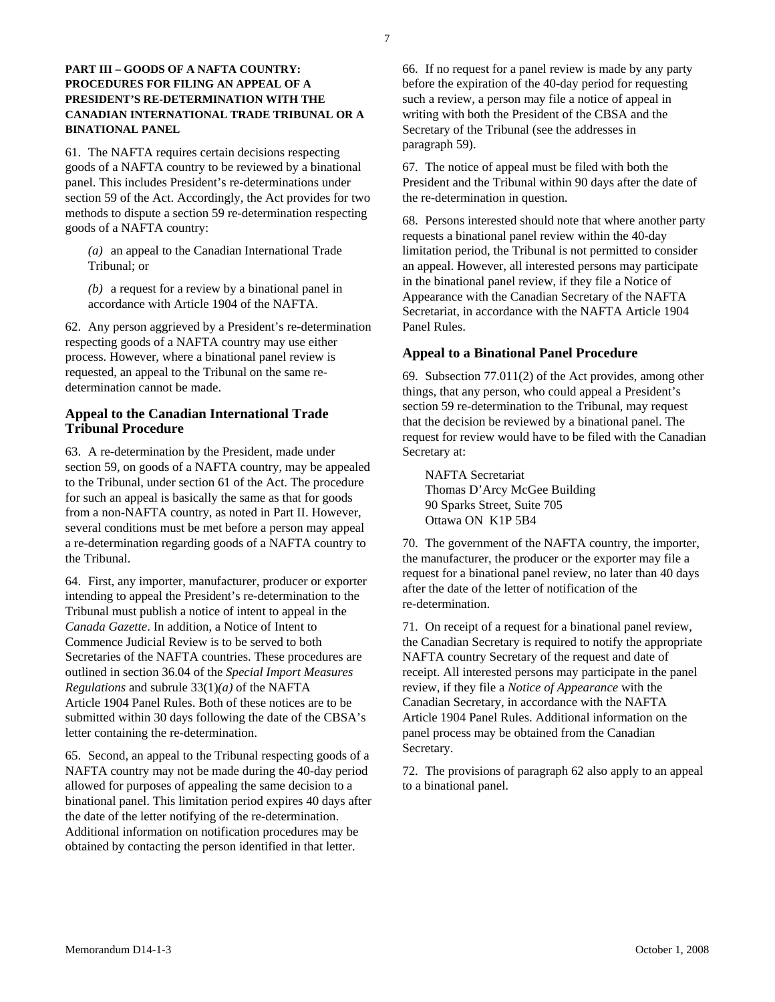# **PART III – GOODS OF A NAFTA COUNTRY: PROCEDURES FOR FILING AN APPEAL OF A PRESIDENT'S RE-DETERMINATION WITH THE CANADIAN INTERNATIONAL TRADE TRIBUNAL OR A BINATIONAL PANEL**

61. The NAFTA requires certain decisions respecting goods of a NAFTA country to be reviewed by a binational panel. This includes President's re-determinations under section 59 of the Act. Accordingly, the Act provides for two methods to dispute a section 59 re-determination respecting goods of a NAFTA country:

*(a)* an appeal to the Canadian International Trade Tribunal; or

*(b)* a request for a review by a binational panel in accordance with Article 1904 of the NAFTA.

62. Any person aggrieved by a President's re-determination respecting goods of a NAFTA country may use either process. However, where a binational panel review is requested, an appeal to the Tribunal on the same redetermination cannot be made.

# **Appeal to the Canadian International Trade Tribunal Procedure**

63. A re-determination by the President, made under section 59, on goods of a NAFTA country, may be appealed to the Tribunal, under section 61 of the Act. The procedure for such an appeal is basically the same as that for goods from a non-NAFTA country, as noted in Part II. However, several conditions must be met before a person may appeal a re-determination regarding goods of a NAFTA country to the Tribunal.

64. First, any importer, manufacturer, producer or exporter intending to appeal the President's re-determination to the Tribunal must publish a notice of intent to appeal in the *Canada Gazette*. In addition, a Notice of Intent to Commence Judicial Review is to be served to both Secretaries of the NAFTA countries. These procedures are outlined in section 36.04 of the *Special Import Measures Regulations* and subrule 33(1)*(a)* of the NAFTA Article 1904 Panel Rules. Both of these notices are to be submitted within 30 days following the date of the CBSA's letter containing the re-determination.

65. Second, an appeal to the Tribunal respecting goods of a NAFTA country may not be made during the 40-day period allowed for purposes of appealing the same decision to a binational panel. This limitation period expires 40 days after the date of the letter notifying of the re-determination. Additional information on notification procedures may be obtained by contacting the person identified in that letter.

66. If no request for a panel review is made by any party before the expiration of the 40-day period for requesting such a review, a person may file a notice of appeal in writing with both the President of the CBSA and the Secretary of the Tribunal (see the addresses in paragraph 59).

67. The notice of appeal must be filed with both the President and the Tribunal within 90 days after the date of the re-determination in question.

68. Persons interested should note that where another party requests a binational panel review within the 40-day limitation period, the Tribunal is not permitted to consider an appeal. However, all interested persons may participate in the binational panel review, if they file a Notice of Appearance with the Canadian Secretary of the NAFTA Secretariat, in accordance with the NAFTA Article 1904 Panel Rules.

# **Appeal to a Binational Panel Procedure**

69. Subsection 77.011(2) of the Act provides, among other things, that any person, who could appeal a President's section 59 re-determination to the Tribunal, may request that the decision be reviewed by a binational panel. The request for review would have to be filed with the Canadian Secretary at:

NAFTA Secretariat Thomas D'Arcy McGee Building 90 Sparks Street, Suite 705 Ottawa ON K1P 5B4

70. The government of the NAFTA country, the importer, the manufacturer, the producer or the exporter may file a request for a binational panel review, no later than 40 days after the date of the letter of notification of the re-determination.

71. On receipt of a request for a binational panel review, the Canadian Secretary is required to notify the appropriate NAFTA country Secretary of the request and date of receipt. All interested persons may participate in the panel review, if they file a *Notice of Appearance* with the Canadian Secretary, in accordance with the NAFTA Article 1904 Panel Rules. Additional information on the panel process may be obtained from the Canadian Secretary.

72. The provisions of paragraph 62 also apply to an appeal to a binational panel.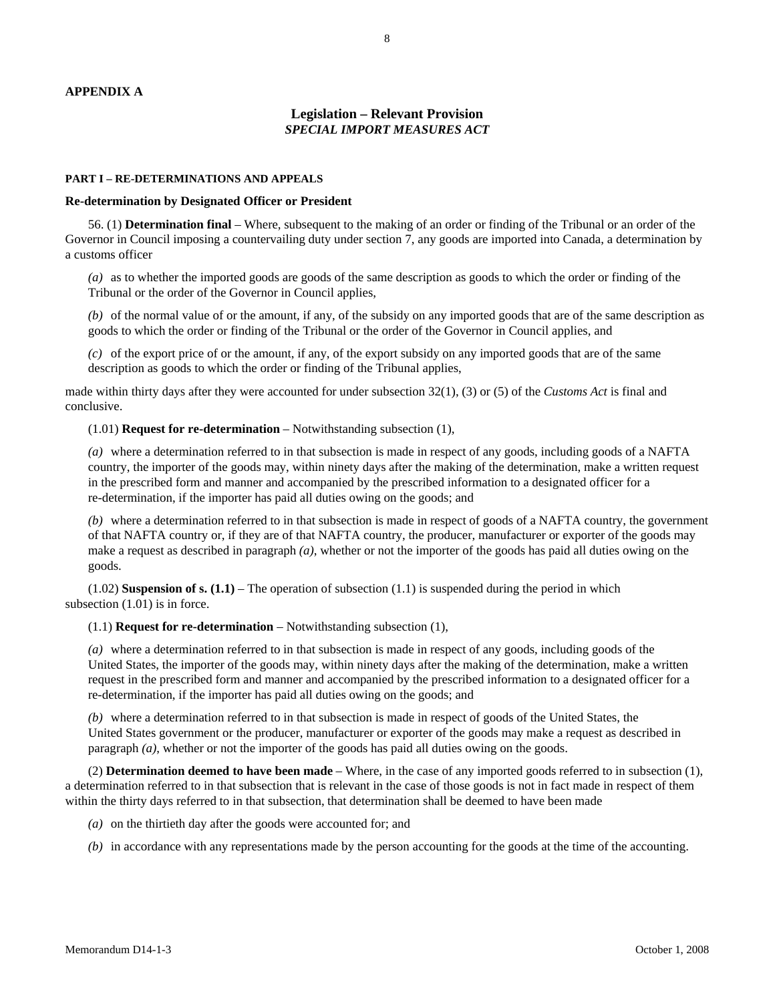#### **APPENDIX A**

# **Legislation – Relevant Provision** *SPECIAL IMPORT MEASURES ACT*

#### **PART I – RE-DETERMINATIONS AND APPEALS**

#### **Re-determination by Designated Officer or President**

 56. (1) **Determination final** – Where, subsequent to the making of an order or finding of the Tribunal or an order of the Governor in Council imposing a countervailing duty under section 7, any goods are imported into Canada, a determination by a customs officer

*(a)* as to whether the imported goods are goods of the same description as goods to which the order or finding of the Tribunal or the order of the Governor in Council applies,

*(b)* of the normal value of or the amount, if any, of the subsidy on any imported goods that are of the same description as goods to which the order or finding of the Tribunal or the order of the Governor in Council applies, and

*(c)* of the export price of or the amount, if any, of the export subsidy on any imported goods that are of the same description as goods to which the order or finding of the Tribunal applies,

made within thirty days after they were accounted for under subsection 32(1), (3) or (5) of the *Customs Act* is final and conclusive.

(1.01) **Request for re-determination** – Notwithstanding subsection (1),

*(a)* where a determination referred to in that subsection is made in respect of any goods, including goods of a NAFTA country, the importer of the goods may, within ninety days after the making of the determination, make a written request in the prescribed form and manner and accompanied by the prescribed information to a designated officer for a re-determination, if the importer has paid all duties owing on the goods; and

*(b)* where a determination referred to in that subsection is made in respect of goods of a NAFTA country, the government of that NAFTA country or, if they are of that NAFTA country, the producer, manufacturer or exporter of the goods may make a request as described in paragraph *(a)*, whether or not the importer of the goods has paid all duties owing on the goods.

 $(1.02)$  **Suspension of s.**  $(1.1)$  – The operation of subsection  $(1.1)$  is suspended during the period in which subsection  $(1.01)$  is in force.

(1.1) **Request for re-determination** – Notwithstanding subsection (1),

*(a)* where a determination referred to in that subsection is made in respect of any goods, including goods of the United States, the importer of the goods may, within ninety days after the making of the determination, make a written request in the prescribed form and manner and accompanied by the prescribed information to a designated officer for a re-determination, if the importer has paid all duties owing on the goods; and

*(b)* where a determination referred to in that subsection is made in respect of goods of the United States, the United States government or the producer, manufacturer or exporter of the goods may make a request as described in paragraph *(a)*, whether or not the importer of the goods has paid all duties owing on the goods.

 (2) **Determination deemed to have been made** – Where, in the case of any imported goods referred to in subsection (1), a determination referred to in that subsection that is relevant in the case of those goods is not in fact made in respect of them within the thirty days referred to in that subsection, that determination shall be deemed to have been made

- *(a)* on the thirtieth day after the goods were accounted for; and
- *(b)* in accordance with any representations made by the person accounting for the goods at the time of the accounting.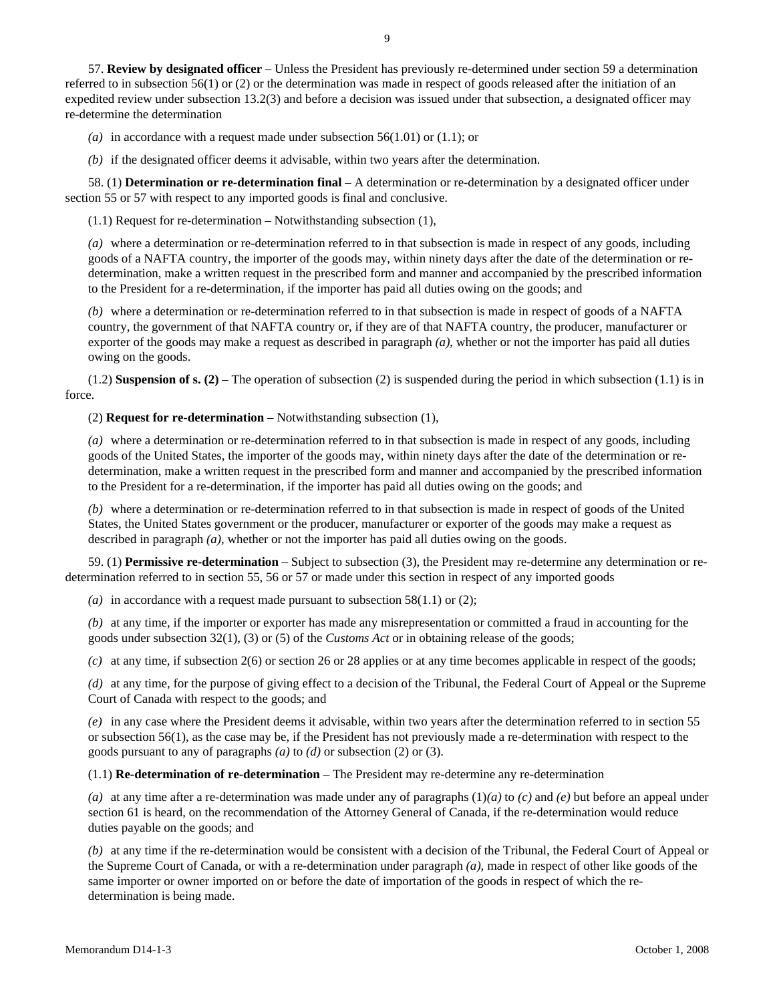57. **Review by designated officer** – Unless the President has previously re-determined under section 59 a determination referred to in subsection 56(1) or (2) or the determination was made in respect of goods released after the initiation of an expedited review under subsection 13.2(3) and before a decision was issued under that subsection, a designated officer may re-determine the determination

*(a)* in accordance with a request made under subsection 56(1.01) or (1.1); or

*(b)* if the designated officer deems it advisable, within two years after the determination.

 58. (1) **Determination or re-determination final** – A determination or re-determination by a designated officer under section 55 or 57 with respect to any imported goods is final and conclusive.

(1.1) Request for re-determination – Notwithstanding subsection (1),

*(a)* where a determination or re-determination referred to in that subsection is made in respect of any goods, including goods of a NAFTA country, the importer of the goods may, within ninety days after the date of the determination or redetermination, make a written request in the prescribed form and manner and accompanied by the prescribed information to the President for a re-determination, if the importer has paid all duties owing on the goods; and

*(b)* where a determination or re-determination referred to in that subsection is made in respect of goods of a NAFTA country, the government of that NAFTA country or, if they are of that NAFTA country, the producer, manufacturer or exporter of the goods may make a request as described in paragraph *(a)*, whether or not the importer has paid all duties owing on the goods.

 (1.2) **Suspension of s. (2)** – The operation of subsection (2) is suspended during the period in which subsection (1.1) is in force.

(2) **Request for re-determination** – Notwithstanding subsection (1),

*(a)* where a determination or re-determination referred to in that subsection is made in respect of any goods, including goods of the United States, the importer of the goods may, within ninety days after the date of the determination or redetermination, make a written request in the prescribed form and manner and accompanied by the prescribed information to the President for a re-determination, if the importer has paid all duties owing on the goods; and

*(b)* where a determination or re-determination referred to in that subsection is made in respect of goods of the United States, the United States government or the producer, manufacturer or exporter of the goods may make a request as described in paragraph *(a)*, whether or not the importer has paid all duties owing on the goods.

 59. (1) **Permissive re-determination** – Subject to subsection (3), the President may re-determine any determination or redetermination referred to in section 55, 56 or 57 or made under this section in respect of any imported goods

*(a)* in accordance with a request made pursuant to subsection 58(1.1) or (2);

*(b)* at any time, if the importer or exporter has made any misrepresentation or committed a fraud in accounting for the goods under subsection 32(1), (3) or (5) of the *Customs Act* or in obtaining release of the goods;

*(c)* at any time, if subsection 2(6) or section 26 or 28 applies or at any time becomes applicable in respect of the goods;

*(d)* at any time, for the purpose of giving effect to a decision of the Tribunal, the Federal Court of Appeal or the Supreme Court of Canada with respect to the goods; and

*(e)* in any case where the President deems it advisable, within two years after the determination referred to in section 55 or subsection 56(1), as the case may be, if the President has not previously made a re-determination with respect to the goods pursuant to any of paragraphs *(a)* to *(d)* or subsection (2) or (3).

(1.1) **Re-determination of re-determination** – The President may re-determine any re-determination

*(a)* at any time after a re-determination was made under any of paragraphs (1)*(a)* to *(c)* and *(e)* but before an appeal under section 61 is heard, on the recommendation of the Attorney General of Canada, if the re-determination would reduce duties payable on the goods; and

*(b)* at any time if the re-determination would be consistent with a decision of the Tribunal, the Federal Court of Appeal or the Supreme Court of Canada, or with a re-determination under paragraph *(a)*, made in respect of other like goods of the same importer or owner imported on or before the date of importation of the goods in respect of which the redetermination is being made.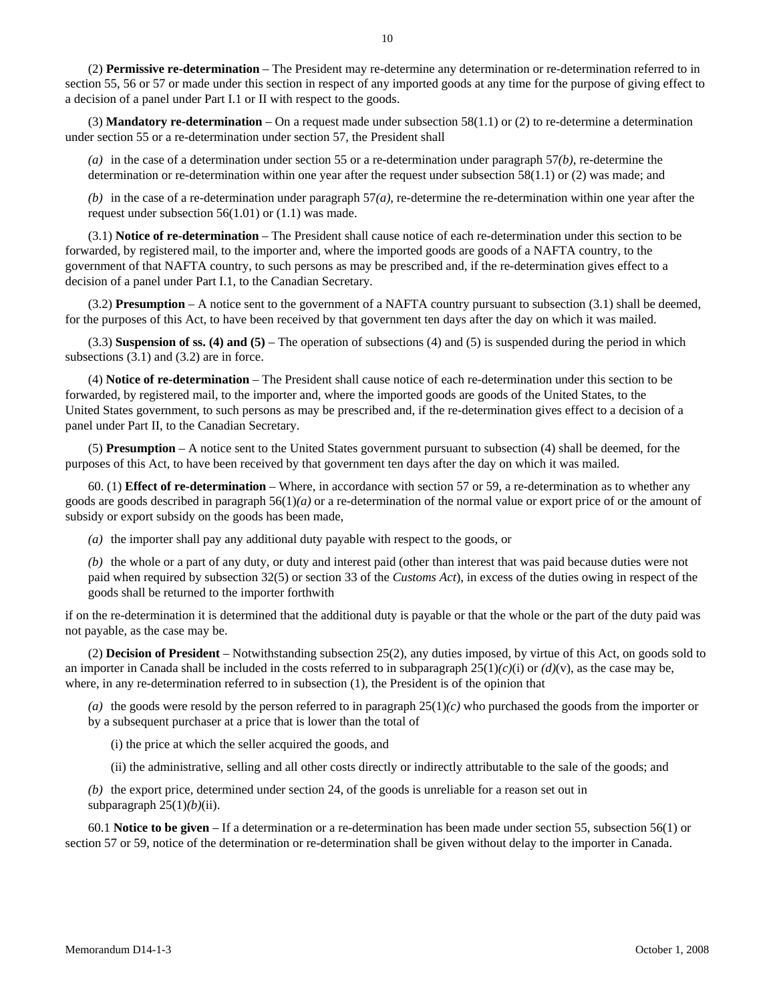(2) **Permissive re-determination** – The President may re-determine any determination or re-determination referred to in section 55, 56 or 57 or made under this section in respect of any imported goods at any time for the purpose of giving effect to a decision of a panel under Part I.1 or II with respect to the goods.

 (3) **Mandatory re-determination** – On a request made under subsection 58(1.1) or (2) to re-determine a determination under section 55 or a re-determination under section 57, the President shall

*(a)* in the case of a determination under section 55 or a re-determination under paragraph 57*(b)*, re-determine the determination or re-determination within one year after the request under subsection 58(1.1) or (2) was made; and

*(b)* in the case of a re-determination under paragraph 57*(a)*, re-determine the re-determination within one year after the request under subsection 56(1.01) or (1.1) was made.

 (3.1) **Notice of re-determination** – The President shall cause notice of each re-determination under this section to be forwarded, by registered mail, to the importer and, where the imported goods are goods of a NAFTA country, to the government of that NAFTA country, to such persons as may be prescribed and, if the re-determination gives effect to a decision of a panel under Part I.1, to the Canadian Secretary.

 (3.2) **Presumption** – A notice sent to the government of a NAFTA country pursuant to subsection (3.1) shall be deemed, for the purposes of this Act, to have been received by that government ten days after the day on which it was mailed.

 (3.3) **Suspension of ss. (4) and (5)** – The operation of subsections (4) and (5) is suspended during the period in which subsections  $(3.1)$  and  $(3.2)$  are in force.

 (4) **Notice of re-determination** – The President shall cause notice of each re-determination under this section to be forwarded, by registered mail, to the importer and, where the imported goods are goods of the United States, to the United States government, to such persons as may be prescribed and, if the re-determination gives effect to a decision of a panel under Part II, to the Canadian Secretary.

 (5) **Presumption** – A notice sent to the United States government pursuant to subsection (4) shall be deemed, for the purposes of this Act, to have been received by that government ten days after the day on which it was mailed.

 60. (1) **Effect of re-determination** – Where, in accordance with section 57 or 59, a re-determination as to whether any goods are goods described in paragraph 56(1)*(a)* or a re-determination of the normal value or export price of or the amount of subsidy or export subsidy on the goods has been made,

*(a)* the importer shall pay any additional duty payable with respect to the goods, or

*(b)* the whole or a part of any duty, or duty and interest paid (other than interest that was paid because duties were not paid when required by subsection 32(5) or section 33 of the *Customs Act*), in excess of the duties owing in respect of the goods shall be returned to the importer forthwith

if on the re-determination it is determined that the additional duty is payable or that the whole or the part of the duty paid was not payable, as the case may be.

 (2) **Decision of President** – Notwithstanding subsection 25(2), any duties imposed, by virtue of this Act, on goods sold to an importer in Canada shall be included in the costs referred to in subparagraph  $25(1)(c)(i)$  or  $(d)(v)$ , as the case may be, where, in any re-determination referred to in subsection (1), the President is of the opinion that

*(a)* the goods were resold by the person referred to in paragraph 25(1)*(c)* who purchased the goods from the importer or by a subsequent purchaser at a price that is lower than the total of

(i) the price at which the seller acquired the goods, and

(ii) the administrative, selling and all other costs directly or indirectly attributable to the sale of the goods; and

*(b)* the export price, determined under section 24, of the goods is unreliable for a reason set out in subparagraph  $25(1)(b)(ii)$ .

 60.1 **Notice to be given** – If a determination or a re-determination has been made under section 55, subsection 56(1) or section 57 or 59, notice of the determination or re-determination shall be given without delay to the importer in Canada.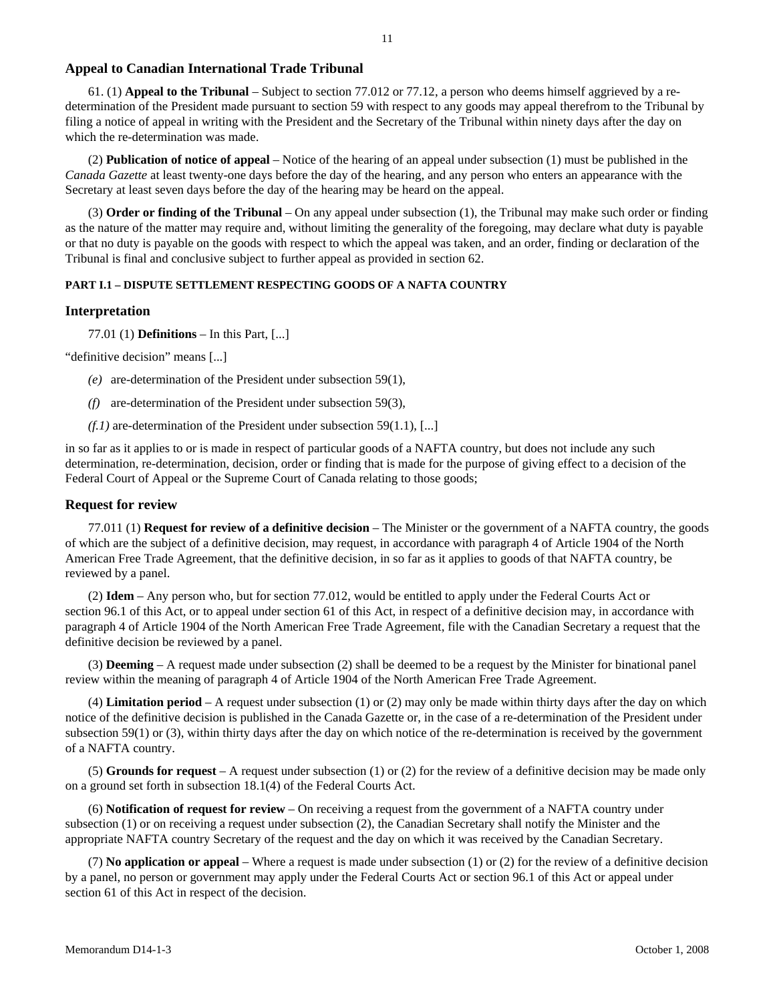# **Appeal to Canadian International Trade Tribunal**

 61. (1) **Appeal to the Tribunal** – Subject to section 77.012 or 77.12, a person who deems himself aggrieved by a redetermination of the President made pursuant to section 59 with respect to any goods may appeal therefrom to the Tribunal by filing a notice of appeal in writing with the President and the Secretary of the Tribunal within ninety days after the day on which the re-determination was made.

 (2) **Publication of notice of appeal** – Notice of the hearing of an appeal under subsection (1) must be published in the *Canada Gazette* at least twenty-one days before the day of the hearing, and any person who enters an appearance with the Secretary at least seven days before the day of the hearing may be heard on the appeal.

 (3) **Order or finding of the Tribunal** – On any appeal under subsection (1), the Tribunal may make such order or finding as the nature of the matter may require and, without limiting the generality of the foregoing, may declare what duty is payable or that no duty is payable on the goods with respect to which the appeal was taken, and an order, finding or declaration of the Tribunal is final and conclusive subject to further appeal as provided in section 62.

# **PART I.1 – DISPUTE SETTLEMENT RESPECTING GOODS OF A NAFTA COUNTRY**

#### **Interpretation**

77.01 (1) **Definitions** – In this Part, [...]

"definitive decision" means [...]

- *(e)* are-determination of the President under subsection 59(1),
- *(f)* are-determination of the President under subsection 59(3),
- *(f.1)* are-determination of the President under subsection 59(1.1), [...]

in so far as it applies to or is made in respect of particular goods of a NAFTA country, but does not include any such determination, re-determination, decision, order or finding that is made for the purpose of giving effect to a decision of the Federal Court of Appeal or the Supreme Court of Canada relating to those goods;

#### **Request for review**

 77.011 (1) **Request for review of a definitive decision** – The Minister or the government of a NAFTA country, the goods of which are the subject of a definitive decision, may request, in accordance with paragraph 4 of Article 1904 of the North American Free Trade Agreement, that the definitive decision, in so far as it applies to goods of that NAFTA country, be reviewed by a panel.

 (2) **Idem** – Any person who, but for section 77.012, would be entitled to apply under the Federal Courts Act or section 96.1 of this Act, or to appeal under section 61 of this Act, in respect of a definitive decision may, in accordance with paragraph 4 of Article 1904 of the North American Free Trade Agreement, file with the Canadian Secretary a request that the definitive decision be reviewed by a panel.

 (3) **Deeming** – A request made under subsection (2) shall be deemed to be a request by the Minister for binational panel review within the meaning of paragraph 4 of Article 1904 of the North American Free Trade Agreement.

 (4) **Limitation period** – A request under subsection (1) or (2) may only be made within thirty days after the day on which notice of the definitive decision is published in the Canada Gazette or, in the case of a re-determination of the President under subsection 59(1) or (3), within thirty days after the day on which notice of the re-determination is received by the government of a NAFTA country.

 (5) **Grounds for request** – A request under subsection (1) or (2) for the review of a definitive decision may be made only on a ground set forth in subsection 18.1(4) of the Federal Courts Act.

 (6) **Notification of request for review** – On receiving a request from the government of a NAFTA country under subsection (1) or on receiving a request under subsection (2), the Canadian Secretary shall notify the Minister and the appropriate NAFTA country Secretary of the request and the day on which it was received by the Canadian Secretary.

 (7) **No application or appeal** – Where a request is made under subsection (1) or (2) for the review of a definitive decision by a panel, no person or government may apply under the Federal Courts Act or section 96.1 of this Act or appeal under section 61 of this Act in respect of the decision.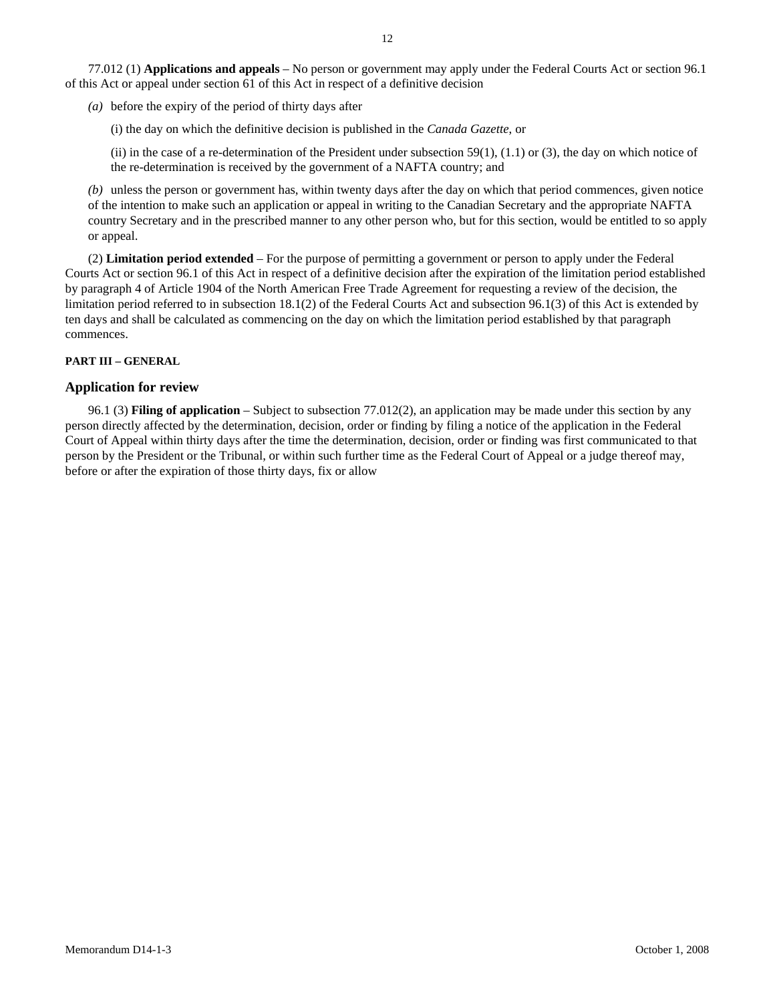77.012 (1) **Applications and appeals** – No person or government may apply under the Federal Courts Act or section 96.1 of this Act or appeal under section 61 of this Act in respect of a definitive decision

*(a)* before the expiry of the period of thirty days after

(i) the day on which the definitive decision is published in the *Canada Gazette*, or

(ii) in the case of a re-determination of the President under subsection  $59(1)$ ,  $(1.1)$  or  $(3)$ , the day on which notice of the re-determination is received by the government of a NAFTA country; and

*(b)* unless the person or government has, within twenty days after the day on which that period commences, given notice of the intention to make such an application or appeal in writing to the Canadian Secretary and the appropriate NAFTA country Secretary and in the prescribed manner to any other person who, but for this section, would be entitled to so apply or appeal.

 (2) **Limitation period extended** – For the purpose of permitting a government or person to apply under the Federal Courts Act or section 96.1 of this Act in respect of a definitive decision after the expiration of the limitation period established by paragraph 4 of Article 1904 of the North American Free Trade Agreement for requesting a review of the decision, the limitation period referred to in subsection 18.1(2) of the Federal Courts Act and subsection 96.1(3) of this Act is extended by ten days and shall be calculated as commencing on the day on which the limitation period established by that paragraph commences.

# **PART III – GENERAL**

# **Application for review**

 96.1 (3) **Filing of application** – Subject to subsection 77.012(2), an application may be made under this section by any person directly affected by the determination, decision, order or finding by filing a notice of the application in the Federal Court of Appeal within thirty days after the time the determination, decision, order or finding was first communicated to that person by the President or the Tribunal, or within such further time as the Federal Court of Appeal or a judge thereof may, before or after the expiration of those thirty days, fix or allow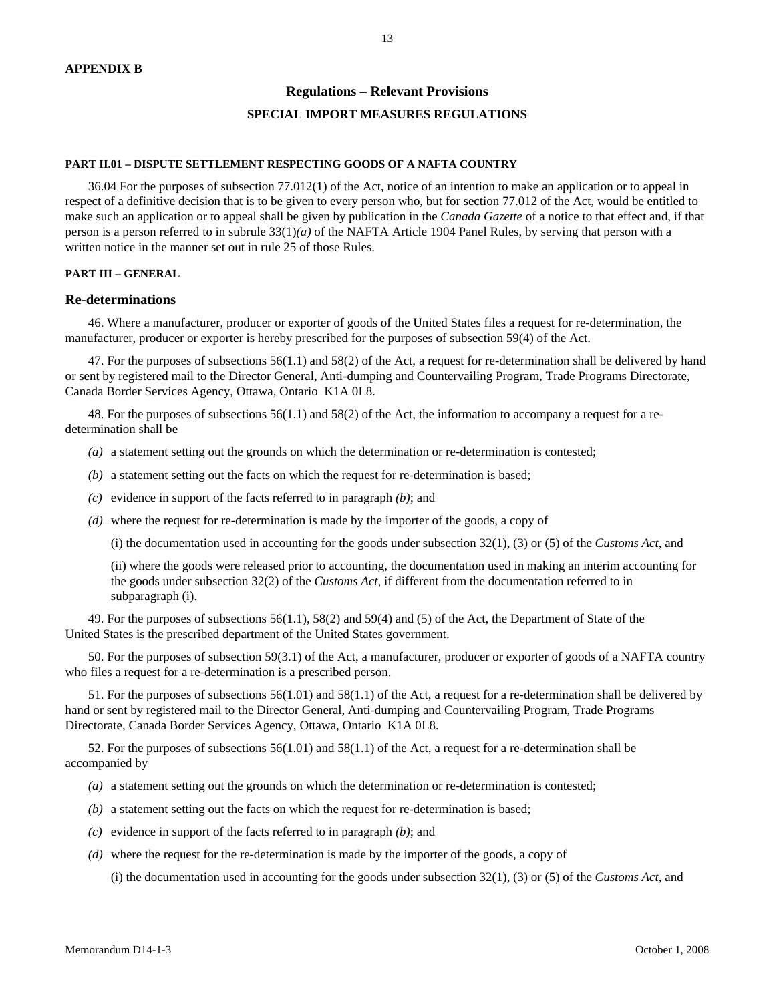### **Regulations – Relevant Provisions**

#### **SPECIAL IMPORT MEASURES REGULATIONS**

#### **PART II.01 – DISPUTE SETTLEMENT RESPECTING GOODS OF A NAFTA COUNTRY**

 36.04 For the purposes of subsection 77.012(1) of the Act, notice of an intention to make an application or to appeal in respect of a definitive decision that is to be given to every person who, but for section 77.012 of the Act, would be entitled to make such an application or to appeal shall be given by publication in the *Canada Gazette* of a notice to that effect and, if that person is a person referred to in subrule 33(1)*(a)* of the NAFTA Article 1904 Panel Rules, by serving that person with a written notice in the manner set out in rule 25 of those Rules.

#### **PART III – GENERAL**

#### **Re-determinations**

 46. Where a manufacturer, producer or exporter of goods of the United States files a request for re-determination, the manufacturer, producer or exporter is hereby prescribed for the purposes of subsection 59(4) of the Act.

 47. For the purposes of subsections 56(1.1) and 58(2) of the Act, a request for re-determination shall be delivered by hand or sent by registered mail to the Director General, Anti-dumping and Countervailing Program, Trade Programs Directorate, Canada Border Services Agency, Ottawa, Ontario K1A 0L8.

 48. For the purposes of subsections 56(1.1) and 58(2) of the Act, the information to accompany a request for a redetermination shall be

*(a)* a statement setting out the grounds on which the determination or re-determination is contested;

- *(b)* a statement setting out the facts on which the request for re-determination is based;
- *(c)* evidence in support of the facts referred to in paragraph *(b)*; and
- *(d)* where the request for re-determination is made by the importer of the goods, a copy of

(i) the documentation used in accounting for the goods under subsection 32(1), (3) or (5) of the *Customs Act*, and

(ii) where the goods were released prior to accounting, the documentation used in making an interim accounting for the goods under subsection 32(2) of the *Customs Act*, if different from the documentation referred to in subparagraph (i).

 49. For the purposes of subsections 56(1.1), 58(2) and 59(4) and (5) of the Act, the Department of State of the United States is the prescribed department of the United States government.

 50. For the purposes of subsection 59(3.1) of the Act, a manufacturer, producer or exporter of goods of a NAFTA country who files a request for a re-determination is a prescribed person.

 51. For the purposes of subsections 56(1.01) and 58(1.1) of the Act, a request for a re-determination shall be delivered by hand or sent by registered mail to the Director General, Anti-dumping and Countervailing Program, Trade Programs Directorate, Canada Border Services Agency, Ottawa, Ontario K1A 0L8.

 52. For the purposes of subsections 56(1.01) and 58(1.1) of the Act, a request for a re-determination shall be accompanied by

- *(a)* a statement setting out the grounds on which the determination or re-determination is contested;
- *(b)* a statement setting out the facts on which the request for re-determination is based;
- *(c)* evidence in support of the facts referred to in paragraph *(b)*; and
- *(d)* where the request for the re-determination is made by the importer of the goods, a copy of

(i) the documentation used in accounting for the goods under subsection 32(1), (3) or (5) of the *Customs Act*, and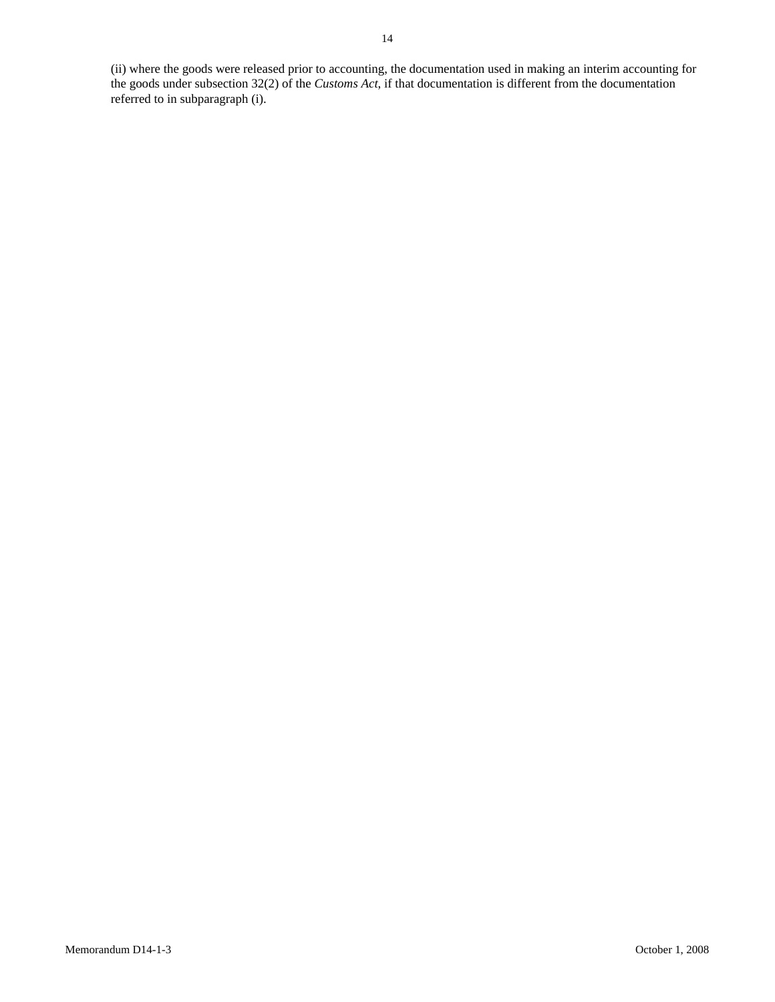(ii) where the goods were released prior to accounting, the documentation used in making an interim accounting for the goods under subsection 32(2) of the *Customs Act*, if that documentation is different from the documentation referred to in subparagraph (i).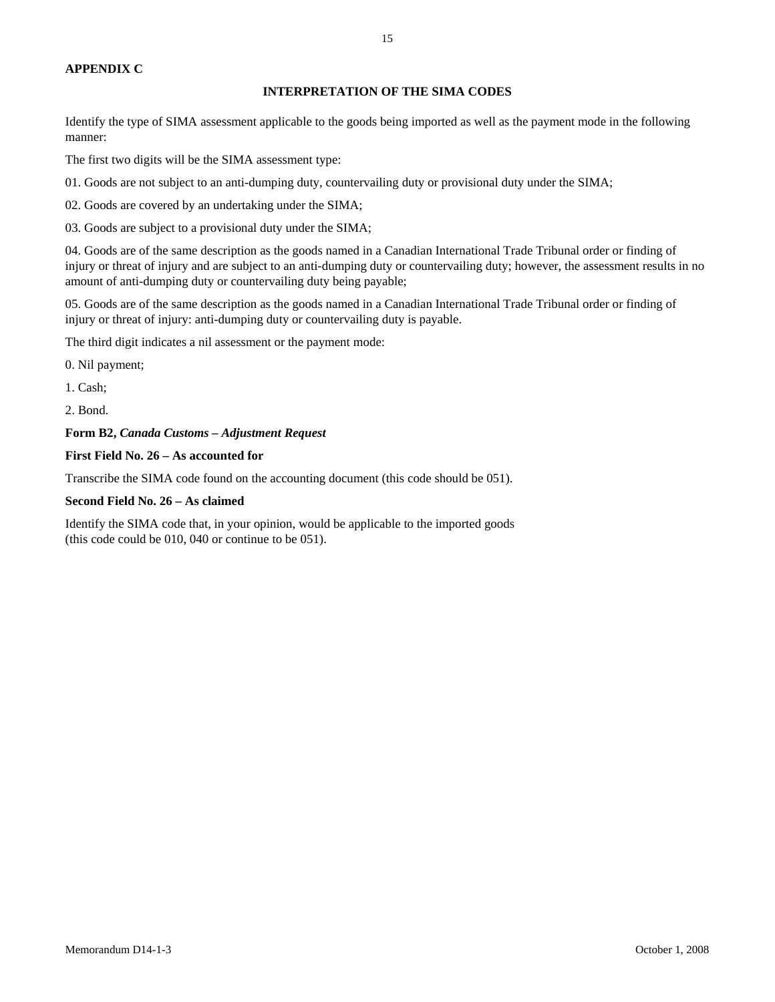#### **APPENDIX C**

# **INTERPRETATION OF THE SIMA CODES**

Identify the type of SIMA assessment applicable to the goods being imported as well as the payment mode in the following manner:

The first two digits will be the SIMA assessment type:

01. Goods are not subject to an anti-dumping duty, countervailing duty or provisional duty under the SIMA;

02. Goods are covered by an undertaking under the SIMA;

03. Goods are subject to a provisional duty under the SIMA;

04. Goods are of the same description as the goods named in a Canadian International Trade Tribunal order or finding of injury or threat of injury and are subject to an anti-dumping duty or countervailing duty; however, the assessment results in no amount of anti-dumping duty or countervailing duty being payable;

05. Goods are of the same description as the goods named in a Canadian International Trade Tribunal order or finding of injury or threat of injury: anti-dumping duty or countervailing duty is payable.

The third digit indicates a nil assessment or the payment mode:

0. Nil payment;

1. Cash;

2. Bond.

# **Form B2,** *Canada Customs – Adjustment Request*

# **First Field No. 26 – As accounted for**

Transcribe the SIMA code found on the accounting document (this code should be 051).

### **Second Field No. 26 – As claimed**

Identify the SIMA code that, in your opinion, would be applicable to the imported goods (this code could be 010, 040 or continue to be 051).